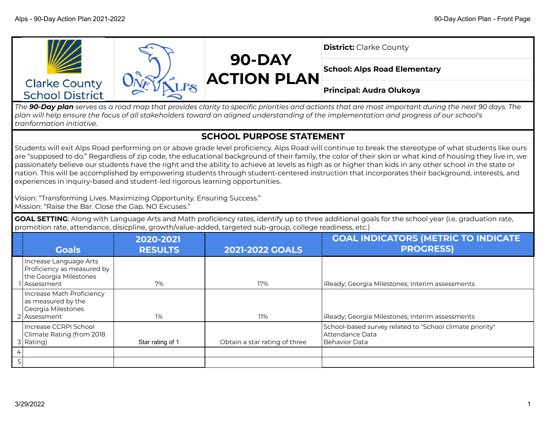

*The 90-Day plan serves as a road map that provides clarity to specific priorities and actionts that are most important during the next 90 days. The plan will help ensure the focus of all stakeholders toward an aligned understanding of the implementation and progress of our school's tranformation initiative.*

## **SCHOOL PURPOSE STATEMENT**

Students will exit Alps Road performing on or above grade level proficiency. Alps Road will continue to break the stereotype of what students like ours are "supposed to do." Regardless of zip code, the educational background of their family, the color of their skin or what kind of housing they live in, we passionately believe our students have the right and the ability to achieve at levels as high as or higher than kids in any other school in the state or nation. This will be accomplished by empowering students through student-centered instruction that incorporates their background, interests, and experiences in inquiry-based and student-led rigorous learning opportunities.

Vision: "Transforming Lives. Maximizing Opportunity. Ensuring Success." Mission: "Raise the Bar. Close the Gap. NO Excuses."

**GOAL SETTING**: Along with Language Arts and Math proficiency rates, identify up to three additional goals for the school year (i.e. graduation rate, promotion rate, attendance, disicpline, growth/value-added, targeted sub-group, college readiness, etc.)

|   | <b>Goals</b>                                                                                   | 2020-2021<br><b>RESULTS</b> | <b>2021-2022 GOALS</b>        | <b>GOAL INDICATORS (METRIC TO INDICATE</b><br><b>PROGRESS)</b>                                   |
|---|------------------------------------------------------------------------------------------------|-----------------------------|-------------------------------|--------------------------------------------------------------------------------------------------|
|   | Increase Language Arts<br>Proficiency as measured by<br>the Georgia Milestones<br>l Assessment | 7%                          | 17%                           | IReady; Georgia Milestones; Interim assessments                                                  |
|   | Increase Math Proficiency<br>as measured by the<br>Georgia Milestones<br>2 Assessment          | $1\%$                       | 11%                           | IReady; Georgia Milestones; Interim assessments                                                  |
|   | Increase CCRPI School<br>Climate Rating (from 2018<br>3 Rating)                                | Star rating of 1            | Obtain a star rating of three | School-based survey related to "School climate priority"<br>  Attendance Data<br>l Behavior Data |
| 4 |                                                                                                |                             |                               |                                                                                                  |
| 5 |                                                                                                |                             |                               |                                                                                                  |